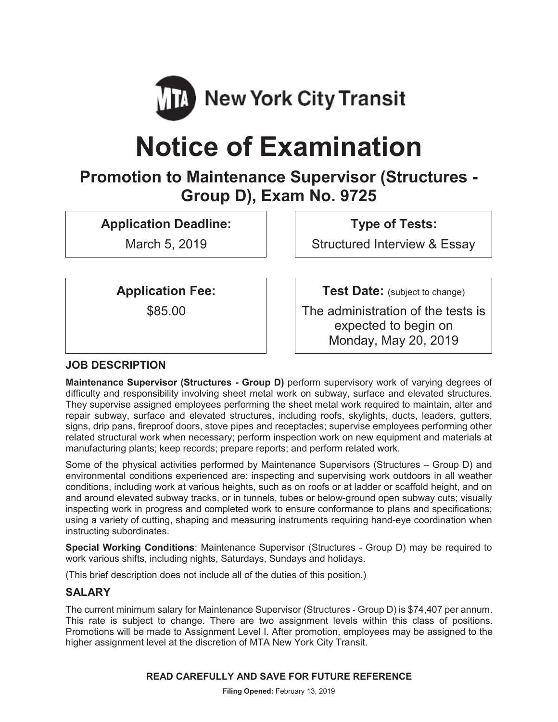

# **Notice of Examination**

# **Promotion to Maintenance Supervisor (Structures - Group D), Exam No. 9725**

**Application Deadline:**

March 5, 2019

**Type of Tests:**

Structured Interview & Essay

**Application Fee:**

\$85.00

**Test Date:** (subject to change)

The administration of the tests is expected to begin on Monday, May 20, 2019

# **JOB DESCRIPTION**

**Maintenance Supervisor (Structures - Group D)** perform supervisory work of varying degrees of difficulty and responsibility involving sheet metal work on subway, surface and elevated structures. They supervise assigned employees performing the sheet metal work required to maintain, alter and repair subway, surface and elevated structures, including roofs, skylights, ducts, leaders, gutters, signs, drip pans, fireproof doors, stove pipes and receptacles; supervise employees performing other related structural work when necessary; perform inspection work on new equipment and materials at manufacturing plants; keep records; prepare reports; and perform related work.

Some of the physical activities performed by Maintenance Supervisors (Structures – Group D) and environmental conditions experienced are: inspecting and supervising work outdoors in all weather conditions, including work at various heights, such as on roofs or at ladder or scaffold height, and on and around elevated subway tracks, or in tunnels, tubes or below-ground open subway cuts; visually inspecting work in progress and completed work to ensure conformance to plans and specifications; using a variety of cutting, shaping and measuring instruments requiring hand-eye coordination when instructing subordinates.

**Special Working Conditions**: Maintenance Supervisor (Structures - Group D) may be required to work various shifts, including nights, Saturdays, Sundays and holidays.

(This brief description does not include all of the duties of this position.)

# **SALARY**

The current minimum salary for Maintenance Supervisor (Structures - Group D) is \$74,407 per annum. This rate is subject to change. There are two assignment levels within this class of positions. Promotions will be made to Assignment Level I. After promotion, employees may be assigned to the higher assignment level at the discretion of MTA New York City Transit.

#### **READ CAREFULLY AND SAVE FOR FUTURE REFERENCE**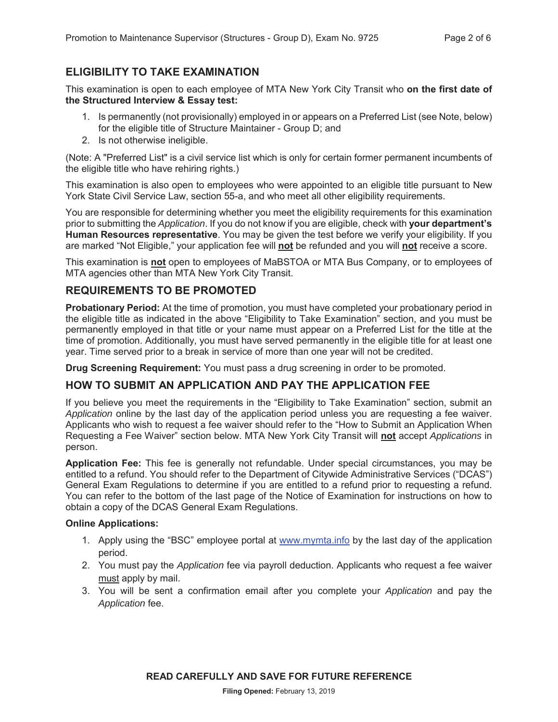# **ELIGIBILITY TO TAKE EXAMINATION**

This examination is open to each employee of MTA New York City Transit who **on the first date of the Structured Interview & Essay test:**

- 1. Is permanently (not provisionally) employed in or appears on a Preferred List (see Note, below) for the eligible title of Structure Maintainer - Group D; and
- 2. Is not otherwise ineligible.

(Note: A "Preferred List" is a civil service list which is only for certain former permanent incumbents of the eligible title who have rehiring rights.)

This examination is also open to employees who were appointed to an eligible title pursuant to New York State Civil Service Law, section 55-a, and who meet all other eligibility requirements.

You are responsible for determining whether you meet the eligibility requirements for this examination prior to submitting the *Application*. If you do not know if you are eligible, check with **your department's Human Resources representative**. You may be given the test before we verify your eligibility. If you are marked "Not Eligible," your application fee will **not** be refunded and you will **not** receive a score.

This examination is **not** open to employees of MaBSTOA or MTA Bus Company, or to employees of MTA agencies other than MTA New York City Transit.

## **REQUIREMENTS TO BE PROMOTED**

**Probationary Period:** At the time of promotion, you must have completed your probationary period in the eligible title as indicated in the above "Eligibility to Take Examination" section, and you must be permanently employed in that title or your name must appear on a Preferred List for the title at the time of promotion. Additionally, you must have served permanently in the eligible title for at least one year. Time served prior to a break in service of more than one year will not be credited.

**Drug Screening Requirement:** You must pass a drug screening in order to be promoted.

# **HOW TO SUBMIT AN APPLICATION AND PAY THE APPLICATION FEE**

If you believe you meet the requirements in the "Eligibility to Take Examination" section, submit an *Application* online by the last day of the application period unless you are requesting a fee waiver. Applicants who wish to request a fee waiver should refer to the "How to Submit an Application When Requesting a Fee Waiver" section below. MTA New York City Transit will **not** accept *Applications* in person.

**Application Fee:** This fee is generally not refundable. Under special circumstances, you may be entitled to a refund. You should refer to the Department of Citywide Administrative Services ("DCAS") General Exam Regulations to determine if you are entitled to a refund prior to requesting a refund. You can refer to the bottom of the last page of the Notice of Examination for instructions on how to obtain a copy of the DCAS General Exam Regulations.

#### **Online Applications:**

- 1. Apply using the "BSC" employee portal at www.mymta.info by the last day of the application period.
- 2. You must pay the *Application* fee via payroll deduction. Applicants who request a fee waiver must apply by mail.
- 3. You will be sent a confirmation email after you complete your *Application* and pay the *Application* fee.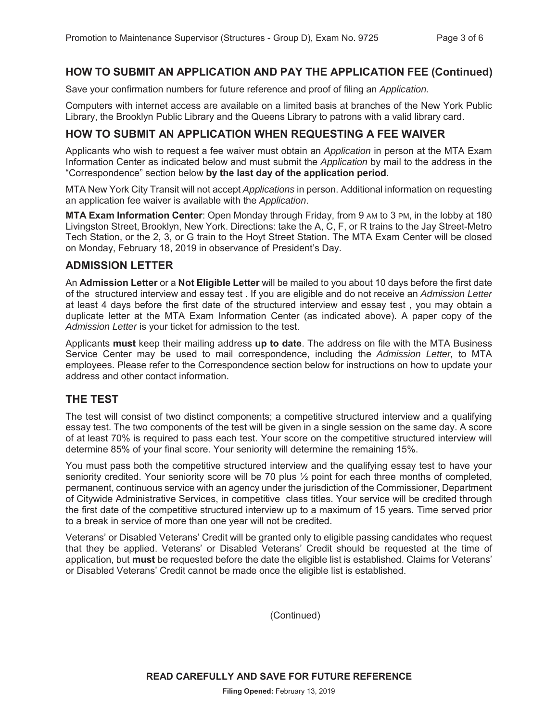#### **HOW TO SUBMIT AN APPLICATION AND PAY THE APPLICATION FEE (Continued)**

Save your confirmation numbers for future reference and proof of filing an *Application.*

Computers with internet access are available on a limited basis at branches of the New York Public Library, the Brooklyn Public Library and the Queens Library to patrons with a valid library card.

#### **HOW TO SUBMIT AN APPLICATION WHEN REQUESTING A FEE WAIVER**

Applicants who wish to request a fee waiver must obtain an *Application* in person at the MTA Exam Information Center as indicated below and must submit the *Application* by mail to the address in the "Correspondence" section below **by the last day of the application period**.

MTA New York City Transit will not accept *Applications* in person. Additional information on requesting an application fee waiver is available with the *Application*.

**MTA Exam Information Center**: Open Monday through Friday, from 9 AM to 3 PM, in the lobby at 180 Livingston Street, Brooklyn, New York. Directions: take the A, C, F, or R trains to the Jay Street-Metro Tech Station, or the 2, 3, or G train to the Hoyt Street Station. The MTA Exam Center will be closed on Monday, February 18, 2019 in observance of President's Day.

#### **ADMISSION LETTER**

An **Admission Letter** or a **Not Eligible Letter** will be mailed to you about 10 days before the first date of the structured interview and essay test . If you are eligible and do not receive an *Admission Letter* at least 4 days before the first date of the structured interview and essay test , you may obtain a duplicate letter at the MTA Exam Information Center (as indicated above). A paper copy of the *Admission Letter* is your ticket for admission to the test.

Applicants **must** keep their mailing address **up to date**. The address on file with the MTA Business Service Center may be used to mail correspondence, including the *Admission Letter,* to MTA employees. Please refer to the Correspondence section below for instructions on how to update your address and other contact information.

#### **THE TEST**

The test will consist of two distinct components; a competitive structured interview and a qualifying essay test. The two components of the test will be given in a single session on the same day. A score of at least 70% is required to pass each test. Your score on the competitive structured interview will determine 85% of your final score. Your seniority will determine the remaining 15%.

You must pass both the competitive structured interview and the qualifying essay test to have your seniority credited. Your seniority score will be 70 plus ½ point for each three months of completed, permanent, continuous service with an agency under the jurisdiction of the Commissioner, Department of Citywide Administrative Services, in competitive class titles. Your service will be credited through the first date of the competitive structured interview up to a maximum of 15 years. Time served prior to a break in service of more than one year will not be credited.

Veterans' or Disabled Veterans' Credit will be granted only to eligible passing candidates who request that they be applied. Veterans' or Disabled Veterans' Credit should be requested at the time of application, but **must** be requested before the date the eligible list is established. Claims for Veterans' or Disabled Veterans' Credit cannot be made once the eligible list is established.

(Continued)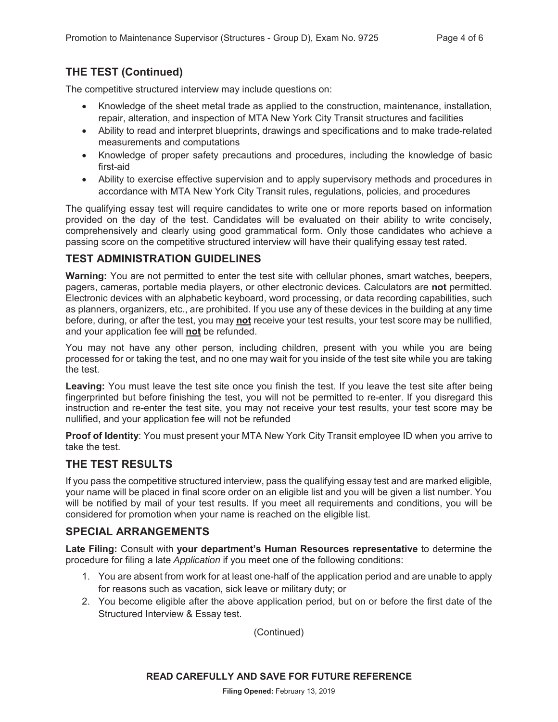# **THE TEST (Continued)**

The competitive structured interview may include questions on:

- Knowledge of the sheet metal trade as applied to the construction, maintenance, installation, repair, alteration, and inspection of MTA New York City Transit structures and facilities
- Ability to read and interpret blueprints, drawings and specifications and to make trade-related measurements and computations
- Knowledge of proper safety precautions and procedures, including the knowledge of basic first-aid
- Ability to exercise effective supervision and to apply supervisory methods and procedures in accordance with MTA New York City Transit rules, regulations, policies, and procedures

The qualifying essay test will require candidates to write one or more reports based on information provided on the day of the test. Candidates will be evaluated on their ability to write concisely, comprehensively and clearly using good grammatical form. Only those candidates who achieve a passing score on the competitive structured interview will have their qualifying essay test rated.

# **TEST ADMINISTRATION GUIDELINES**

**Warning:** You are not permitted to enter the test site with cellular phones, smart watches, beepers, pagers, cameras, portable media players, or other electronic devices. Calculators are **not** permitted. Electronic devices with an alphabetic keyboard, word processing, or data recording capabilities, such as planners, organizers, etc., are prohibited. If you use any of these devices in the building at any time before, during, or after the test, you may **not** receive your test results, your test score may be nullified, and your application fee will **not** be refunded.

You may not have any other person, including children, present with you while you are being processed for or taking the test, and no one may wait for you inside of the test site while you are taking the test.

**Leaving:** You must leave the test site once you finish the test. If you leave the test site after being fingerprinted but before finishing the test, you will not be permitted to re-enter. If you disregard this instruction and re-enter the test site, you may not receive your test results, your test score may be nullified, and your application fee will not be refunded

**Proof of Identity**: You must present your MTA New York City Transit employee ID when you arrive to take the test.

# **THE TEST RESULTS**

If you pass the competitive structured interview, pass the qualifying essay test and are marked eligible, your name will be placed in final score order on an eligible list and you will be given a list number. You will be notified by mail of your test results. If you meet all requirements and conditions, you will be considered for promotion when your name is reached on the eligible list.

# **SPECIAL ARRANGEMENTS**

**Late Filing:** Consult with **your department's Human Resources representative** to determine the procedure for filing a late *Application* if you meet one of the following conditions:

- 1. You are absent from work for at least one-half of the application period and are unable to apply for reasons such as vacation, sick leave or military duty; or
- 2. You become eligible after the above application period, but on or before the first date of the Structured Interview & Essay test.

(Continued)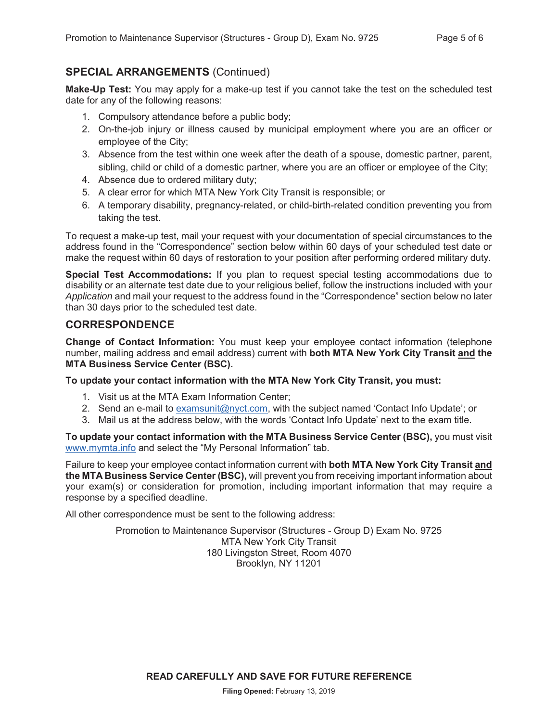## **SPECIAL ARRANGEMENTS** (Continued)

**Make-Up Test:** You may apply for a make-up test if you cannot take the test on the scheduled test date for any of the following reasons:

- 1. Compulsory attendance before a public body;
- 2. On-the-job injury or illness caused by municipal employment where you are an officer or employee of the City;
- 3. Absence from the test within one week after the death of a spouse, domestic partner, parent, sibling, child or child of a domestic partner, where you are an officer or employee of the City;
- 4. Absence due to ordered military duty;
- 5. A clear error for which MTA New York City Transit is responsible; or
- 6. A temporary disability, pregnancy-related, or child-birth-related condition preventing you from taking the test.

To request a make-up test, mail your request with your documentation of special circumstances to the address found in the "Correspondence" section below within 60 days of your scheduled test date or make the request within 60 days of restoration to your position after performing ordered military duty.

**Special Test Accommodations:** If you plan to request special testing accommodations due to disability or an alternate test date due to your religious belief, follow the instructions included with your *Application* and mail your request to the address found in the "Correspondence" section below no later than 30 days prior to the scheduled test date.

#### **CORRESPONDENCE**

**Change of Contact Information:** You must keep your employee contact information (telephone number, mailing address and email address) current with **both MTA New York City Transit and the MTA Business Service Center (BSC).**

**To update your contact information with the MTA New York City Transit, you must:**

- 1. Visit us at the MTA Exam Information Center;
- 2. Send an e-mail to examsunit@nyct.com, with the subject named 'Contact Info Update'; or
- 3. Mail us at the address below, with the words 'Contact Info Update' next to the exam title.

**To update your contact information with the MTA Business Service Center (BSC),** you must visit www.mymta.info and select the "My Personal Information" tab.

Failure to keep your employee contact information current with **both MTA New York City Transit and the MTA Business Service Center (BSC),** will prevent you from receiving important information about your exam(s) or consideration for promotion, including important information that may require a response by a specified deadline.

All other correspondence must be sent to the following address:

Promotion to Maintenance Supervisor (Structures - Group D) Exam No. 9725 MTA New York City Transit 180 Livingston Street, Room 4070 Brooklyn, NY 11201

**READ CAREFULLY AND SAVE FOR FUTURE REFERENCE**